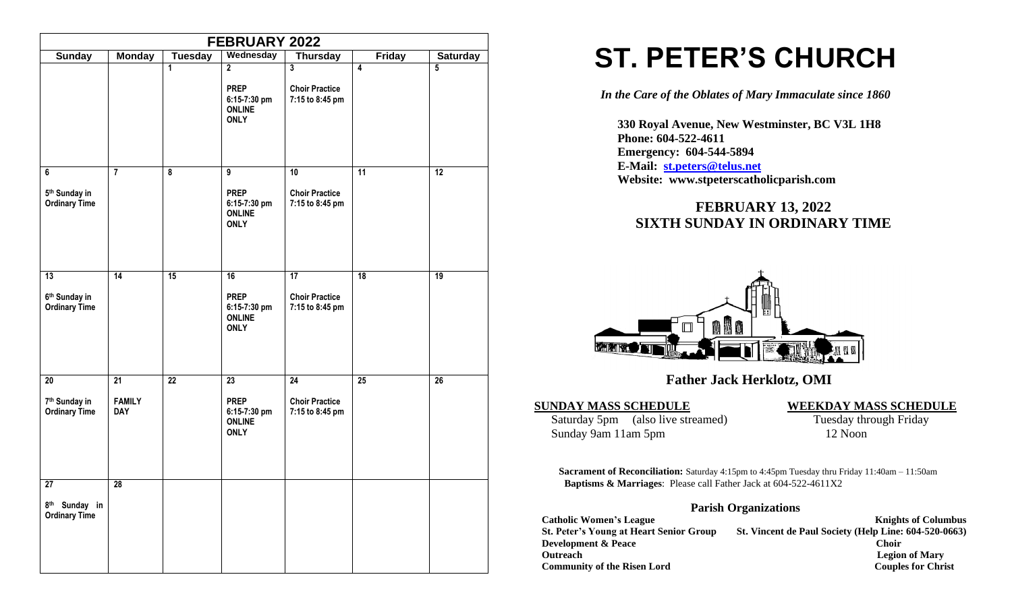|                                                                      |                                   |                         | FEBRUARY 2022                                                                  |                                                             |                 |                 |
|----------------------------------------------------------------------|-----------------------------------|-------------------------|--------------------------------------------------------------------------------|-------------------------------------------------------------|-----------------|-----------------|
| <b>Sunday</b>                                                        | <b>Monday</b>                     | <b>Tuesday</b>          | Wednesday                                                                      | <b>Thursday</b>                                             | <b>Friday</b>   | <b>Saturday</b> |
|                                                                      |                                   | 1                       | $\overline{2}$<br><b>PREP</b><br>6:15-7:30 pm<br><b>ONLINE</b><br><b>ONLY</b>  | $\mathbf{3}$<br><b>Choir Practice</b><br>7:15 to 8:45 pm    | 4               | $\overline{5}$  |
| 6<br>5 <sup>th</sup> Sunday in<br><b>Ordinary Time</b>               | $\overline{7}$                    | $\overline{\mathbf{8}}$ | $\overline{9}$<br><b>PREP</b><br>6:15-7:30 pm<br><b>ONLINE</b><br><b>ONLY</b>  | $\overline{10}$<br><b>Choir Practice</b><br>7:15 to 8:45 pm | 11              | 12              |
| $\overline{13}$<br>6 <sup>th</sup> Sunday in<br><b>Ordinary Time</b> | $\overline{14}$                   | 15                      | 16<br><b>PREP</b><br>6:15-7:30 pm<br><b>ONLINE</b><br><b>ONLY</b>              | 17<br><b>Choir Practice</b><br>7:15 to 8:45 pm              | 18              | 19              |
| 20<br>7 <sup>th</sup> Sunday in<br><b>Ordinary Time</b>              | 21<br><b>FAMILY</b><br><b>DAY</b> | $\overline{22}$         | $\overline{23}$<br><b>PREP</b><br>6:15-7:30 pm<br><b>ONLINE</b><br><b>ONLY</b> | $\overline{24}$<br><b>Choir Practice</b><br>7:15 to 8:45 pm | $\overline{25}$ | $\overline{26}$ |
| 27<br>8 <sup>th</sup> Sunday in<br><b>Ordinary Time</b>              | 28                                |                         |                                                                                |                                                             |                 |                 |

# **ST. PETER'S CHURCH**

*In the Care of the Oblates of Mary Immaculate since 1860*

 **330 Royal Avenue, New Westminster, BC V3L 1H8 Phone: 604-522-4611 Emergency: 604-544-5894 E-Mail: [st.peters@telus.net](mailto:st.peters@telus.net) Website: www.stpeterscatholicparish.com**

# **FEBRUARY 13, 2022 SIXTH SUNDAY IN ORDINARY TIME**



# **Father Jack Herklotz, OMI**

Saturday 5pm (also live streamed) Tuesday through Friday Sunday 9am 11am 5pm 12 Noon

#### **SUNDAY MASS SCHEDULE WEEKDAY MASS SCHEDULE**

**Sacrament of Reconciliation:** Saturday 4:15pm to 4:45pm Tuesday thru Friday 11:40am – 11:50am  **Baptisms & Marriages**: Please call Father Jack at 604-522-4611X2

### **Parish Organizations**

| <b>Catholic Women's League</b>                 | <b>Knights of Columbus</b>                            |
|------------------------------------------------|-------------------------------------------------------|
| <b>St. Peter's Young at Heart Senior Group</b> | St. Vincent de Paul Society (Help Line: 604-520-0663) |
| <b>Development &amp; Peace</b>                 | <b>Choir</b>                                          |
| <b>Outreach</b>                                | <b>Legion of Mary</b>                                 |
| <b>Community of the Risen Lord</b>             | <b>Couples for Christ</b>                             |